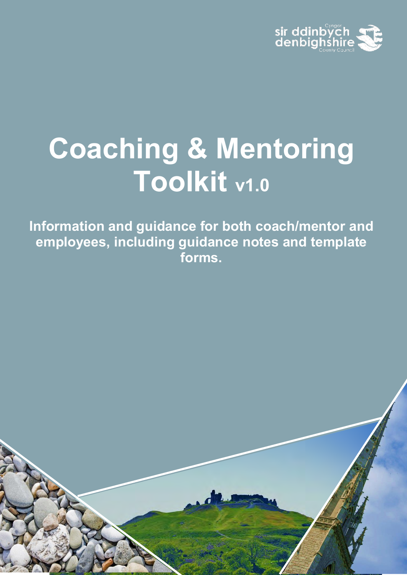

# **Coaching & Mentoring Toolkit v1.0**

**Information and guidance for both coach/mentor and employees, including guidance notes and template forms.** 

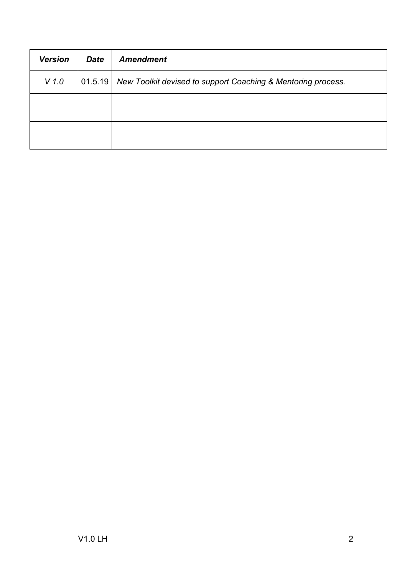| <b>Version</b> | <b>Date</b> | <b>Amendment</b>                                             |
|----------------|-------------|--------------------------------------------------------------|
| $V$ 1.0        | 01.5.19     | New Toolkit devised to support Coaching & Mentoring process. |
|                |             |                                                              |
|                |             |                                                              |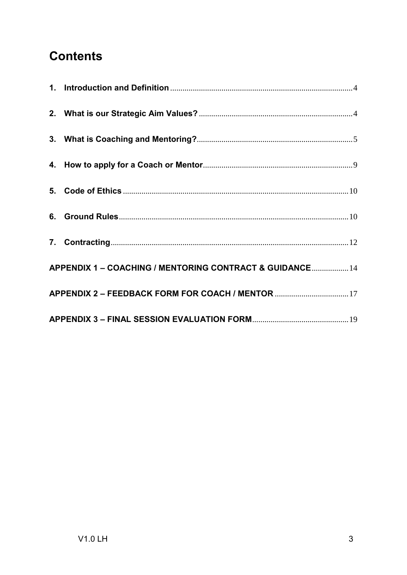# **Contents**

| APPENDIX 1 - COACHING / MENTORING CONTRACT & GUIDANCE 14 |
|----------------------------------------------------------|
| APPENDIX 2 - FEEDBACK FORM FOR COACH / MENTOR 17         |
|                                                          |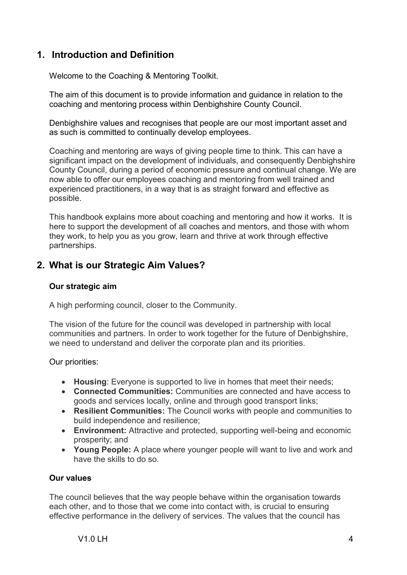## <span id="page-3-0"></span>**1. Introduction and Definition**

Welcome to the Coaching & Mentoring Toolkit.

The aim of this document is to provide information and guidance in relation to the coaching and mentoring process within Denbighshire County Council.

Denbighshire values and recognises that people are our most important asset and as such is committed to continually develop employees.

Coaching and mentoring are ways of giving people time to think. This can have a significant impact on the development of individuals, and consequently Denbighshire County Council, during a period of economic pressure and continual change. We are now able to offer our employees coaching and mentoring from well trained and experienced practitioners, in a way that is as straight forward and effective as possible.

This handbook explains more about coaching and mentoring and how it works. It is here to support the development of all coaches and mentors, and those with whom they work, to help you as you grow, learn and thrive at work through effective partnerships.

## <span id="page-3-1"></span>**2. What is our Strategic Aim Values?**

#### **Our strategic aim**

A high performing council, closer to the Community.

The vision of the future for the council was developed in partnership with local communities and partners. In order to work together for the future of Denbighshire, we need to understand and deliver the corporate plan and its priorities.

Our priorities:

- **Housing**: Everyone is supported to live in homes that meet their needs;
- **Connected Communities:** Communities are connected and have access to goods and services locally, online and through good transport links;
- **Resilient Communities:** The Council works with people and communities to build independence and resilience;
- **Environment:** Attractive and protected, supporting well-being and economic prosperity; and
- **Young People:** A place where younger people will want to live and work and have the skills to do so.

#### **Our values**

The council believes that the way people behave within the organisation towards each other, and to those that we come into contact with, is crucial to ensuring effective performance in the delivery of services. The values that the council has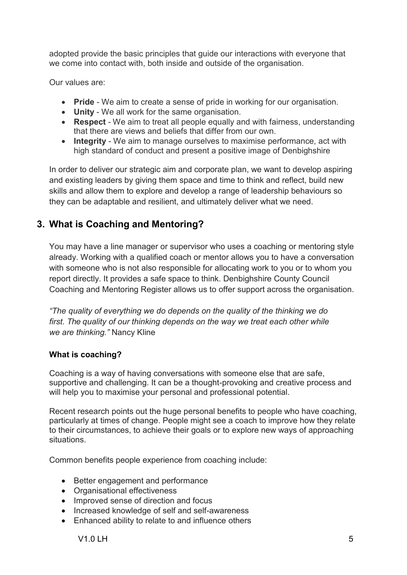adopted provide the basic principles that guide our interactions with everyone that we come into contact with, both inside and outside of the organisation.

Our values are:

- **Pride** We aim to create a sense of pride in working for our organisation.
- **Unity** We all work for the same organisation.
- **Respect** We aim to treat all people equally and with fairness, understanding that there are views and beliefs that differ from our own.
- **Integrity** We aim to manage ourselves to maximise performance, act with high standard of conduct and present a positive image of Denbighshire

In order to deliver our strategic aim and corporate plan, we want to develop aspiring and existing leaders by giving them space and time to think and reflect, build new skills and allow them to explore and develop a range of leadership behaviours so they can be adaptable and resilient, and ultimately deliver what we need.

## <span id="page-4-0"></span>**3. What is Coaching and Mentoring?**

You may have a line manager or supervisor who uses a coaching or mentoring style already. Working with a qualified coach or mentor allows you to have a conversation with someone who is not also responsible for allocating work to you or to whom you report directly. It provides a safe space to think. Denbighshire County Council Coaching and Mentoring Register allows us to offer support across the organisation.

*"The quality of everything we do depends on the quality of the thinking we do first. The quality of our thinking depends on the way we treat each other while we are thinking."* Nancy Kline

## **What is coaching?**

Coaching is a way of having conversations with someone else that are safe, supportive and challenging. It can be a thought-provoking and creative process and will help you to maximise your personal and professional potential.

Recent research points out the huge personal benefits to people who have coaching, particularly at times of change. People might see a coach to improve how they relate to their circumstances, to achieve their goals or to explore new ways of approaching situations.

Common benefits people experience from coaching include:

- Better engagement and performance
- Organisational effectiveness
- Improved sense of direction and focus
- Increased knowledge of self and self-awareness
- Enhanced ability to relate to and influence others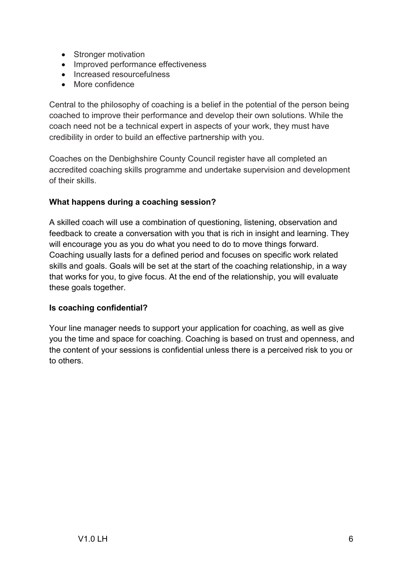- Stronger motivation
- Improved performance effectiveness
- Increased resourcefulness
- More confidence

Central to the philosophy of coaching is a belief in the potential of the person being coached to improve their performance and develop their own solutions. While the coach need not be a technical expert in aspects of your work, they must have credibility in order to build an effective partnership with you.

Coaches on the Denbighshire County Council register have all completed an accredited coaching skills programme and undertake supervision and development of their skills.

## **What happens during a coaching session?**

A skilled coach will use a combination of questioning, listening, observation and feedback to create a conversation with you that is rich in insight and learning. They will encourage you as you do what you need to do to move things forward. Coaching usually lasts for a defined period and focuses on specific work related skills and goals. Goals will be set at the start of the coaching relationship, in a way that works for you, to give focus. At the end of the relationship, you will evaluate these goals together.

## **Is coaching confidential?**

Your line manager needs to support your application for coaching, as well as give you the time and space for coaching. Coaching is based on trust and openness, and the content of your sessions is confidential unless there is a perceived risk to you or to others.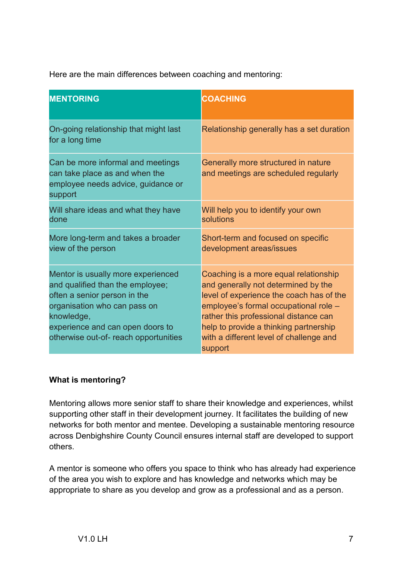Here are the main differences between coaching and mentoring:

| <b>MENTORING</b>                                                                                                                                                                                                                  | <b>COACHING</b>                                                                                                                                                                                                                                                                                            |
|-----------------------------------------------------------------------------------------------------------------------------------------------------------------------------------------------------------------------------------|------------------------------------------------------------------------------------------------------------------------------------------------------------------------------------------------------------------------------------------------------------------------------------------------------------|
| On-going relationship that might last<br>for a long time                                                                                                                                                                          | Relationship generally has a set duration                                                                                                                                                                                                                                                                  |
| Can be more informal and meetings<br>can take place as and when the<br>employee needs advice, guidance or<br>support                                                                                                              | Generally more structured in nature<br>and meetings are scheduled regularly                                                                                                                                                                                                                                |
| Will share ideas and what they have<br>done                                                                                                                                                                                       | Will help you to identify your own<br>solutions                                                                                                                                                                                                                                                            |
| More long-term and takes a broader<br>view of the person                                                                                                                                                                          | Short-term and focused on specific<br>development areas/issues                                                                                                                                                                                                                                             |
| Mentor is usually more experienced<br>and qualified than the employee;<br>often a senior person in the<br>organisation who can pass on<br>knowledge,<br>experience and can open doors to<br>otherwise out-of- reach opportunities | Coaching is a more equal relationship<br>and generally not determined by the<br>level of experience the coach has of the<br>employee's formal occupational role -<br>rather this professional distance can<br>help to provide a thinking partnership<br>with a different level of challenge and<br>support |

## **What is mentoring?**

Mentoring allows more senior staff to share their knowledge and experiences, whilst supporting other staff in their development journey. It facilitates the building of new networks for both mentor and mentee. Developing a sustainable mentoring resource across Denbighshire County Council ensures internal staff are developed to support others.

A mentor is someone who offers you space to think who has already had experience of the area you wish to explore and has knowledge and networks which may be appropriate to share as you develop and grow as a professional and as a person.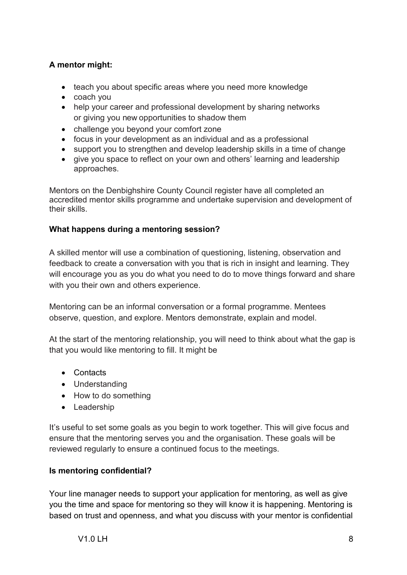## **A mentor might:**

- teach you about specific areas where you need more knowledge
- coach you
- help your career and professional development by sharing networks or giving you new opportunities to shadow them
- challenge you beyond your comfort zone
- focus in your development as an individual and as a professional
- support you to strengthen and develop leadership skills in a time of change
- give you space to reflect on your own and others' learning and leadership approaches.

Mentors on the Denbighshire County Council register have all completed an accredited mentor skills programme and undertake supervision and development of their skills.

## **What happens during a mentoring session?**

A skilled mentor will use a combination of questioning, listening, observation and feedback to create a conversation with you that is rich in insight and learning. They will encourage you as you do what you need to do to move things forward and share with you their own and others experience.

Mentoring can be an informal conversation or a formal programme. Mentees observe, question, and explore. Mentors demonstrate, explain and model.

At the start of the mentoring relationship, you will need to think about what the gap is that you would like mentoring to fill. It might be

- Contacts
- Understanding
- How to do something
- Leadership

It's useful to set some goals as you begin to work together. This will give focus and ensure that the mentoring serves you and the organisation. These goals will be reviewed regularly to ensure a continued focus to the meetings.

## **Is mentoring confidential?**

Your line manager needs to support your application for mentoring, as well as give you the time and space for mentoring so they will know it is happening. Mentoring is based on trust and openness, and what you discuss with your mentor is confidential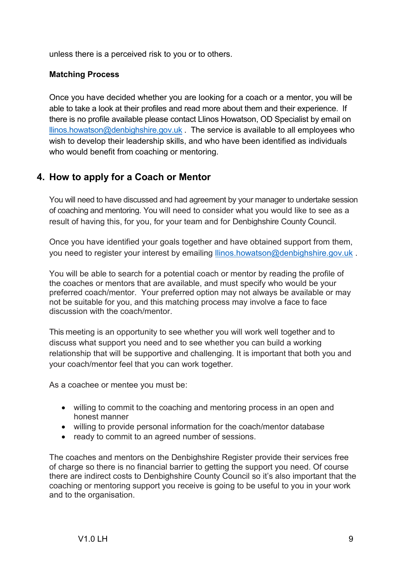unless there is a perceived risk to you or to others.

## **Matching Process**

Once you have decided whether you are looking for a coach or a mentor, you will be able to take a look at their profiles and read more about them and their experience. If there is no profile available please contact Llinos Howatson, OD Specialist by email on [llinos.howatson@denbighshire.gov.uk](mailto:llinos.howatson@denbighshire.gov.uk) The service is available to all employees who wish to develop their leadership skills, and who have been identified as individuals who would benefit from coaching or mentoring.

## <span id="page-8-0"></span>**4. How to apply for a Coach or Mentor**

You will need to have discussed and had agreement by your manager to undertake session of coaching and mentoring. You will need to consider what you would like to see as a result of having this, for you, for your team and for Denbighshire County Council.

Once you have identified your goals together and have obtained support from them, you need to register your interest by emailing llinos.howatson@denbighshire.gov.uk.

You will be able to search for a potential coach or mentor by reading the profile of the coaches or mentors that are available, and must specify who would be your preferred coach/mentor. Your preferred option may not always be available or may not be suitable for you, and this matching process may involve a face to face discussion with the coach/mentor.

This meeting is an opportunity to see whether you will work well together and to discuss what support you need and to see whether you can build a working relationship that will be supportive and challenging. It is important that both you and your coach/mentor feel that you can work together.

As a coachee or mentee you must be:

- willing to commit to the coaching and mentoring process in an open and honest manner
- willing to provide personal information for the coach/mentor database
- ready to commit to an agreed number of sessions.

The coaches and mentors on the Denbighshire Register provide their services free of charge so there is no financial barrier to getting the support you need. Of course there are indirect costs to Denbighshire County Council so it's also important that the coaching or mentoring support you receive is going to be useful to you in your work and to the organisation.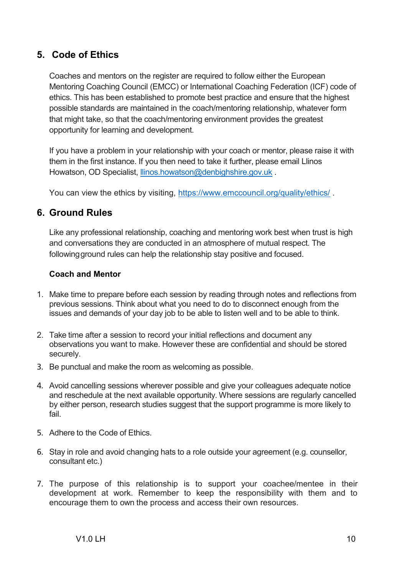## <span id="page-9-0"></span>**5. Code of Ethics**

Coaches and mentors on the register are required to follow either the European Mentoring Coaching Council (EMCC) or International Coaching Federation (ICF) code of ethics. This has been established to promote best practice and ensure that the highest possible standards are maintained in the coach/mentoring relationship, whatever form that might take, so that the coach/mentoring environment provides the greatest opportunity for learning and development.

If you have a problem in your relationship with your coach or mentor, please raise it with them in the first instance. If you then need to take it further, please email Llinos Howatson, OD Specialist, Ilinos.howatson@denbighshire.gov.uk.

You can view the ethics by visiting, https://www.emccouncil.org/quality/ethics/.

## <span id="page-9-1"></span>**6. Ground Rules**

Like any professional relationship, coaching and mentoring work best when trust is high and conversations they are conducted in an atmosphere of mutual respect. The following ground rules can help the relationship stay positive and focused.

## **Coach and Mentor**

- 1. Make time to prepare before each session by reading through notes and reflections from previous sessions. Think about what you need to do to disconnect enough from the issues and demands of your day job to be able to listen well and to be able to think.
- 2. Take time after a session to record your initial reflections and document any observations you want to make. However these are confidential and should be stored securely.
- 3. Be punctual and make the room as welcoming as possible.
- 4. Avoid cancelling sessions wherever possible and give your colleagues adequate notice and reschedule at the next available opportunity. Where sessions are regularly cancelled by either person, research studies suggest that the support programme is more likely to fail.
- 5. Adhere to the Code of Ethics.
- 6. Stay in role and avoid changing hats to a role outside your agreement (e.g. counsellor, consultant etc.)
- 7. The purpose of this relationship is to support your coachee/mentee in their development at work. Remember to keep the responsibility with them and to encourage them to own the process and access their own resources.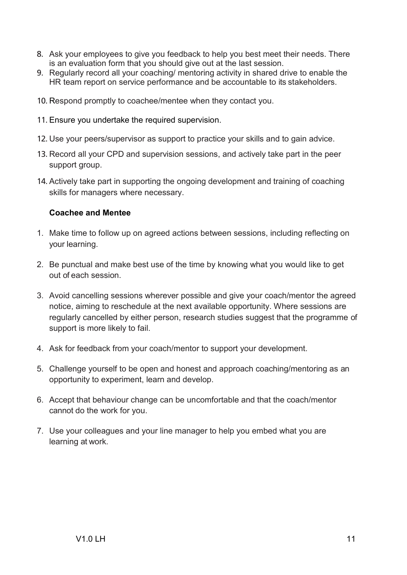- 8. Ask your employees to give you feedback to help you best meet their needs. There is an evaluation form that you should give out at the last session.
- 9. Regularly record all your coaching/ mentoring activity in shared drive to enable the HR team report on service performance and be accountable to its stakeholders.
- 10. Respond promptly to coachee/mentee when they contact you.
- 11. Ensure you undertake the required supervision.
- 12. Use your peers/supervisor as support to practice your skills and to gain advice.
- 13. Record all your CPD and supervision sessions, and actively take part in the peer support group.
- 14. Actively take part in supporting the ongoing development and training of coaching skills for managers where necessary.

## **Coachee and Mentee**

- 1. Make time to follow up on agreed actions between sessions, including reflecting on your learning.
- 2. Be punctual and make best use of the time by knowing what you would like to get out of each session.
- 3. Avoid cancelling sessions wherever possible and give your coach/mentor the agreed notice, aiming to reschedule at the next available opportunity. Where sessions are regularly cancelled by either person, research studies suggest that the programme of support is more likely to fail.
- 4. Ask for feedback from your coach/mentor to support your development.
- 5. Challenge yourself to be open and honest and approach coaching/mentoring as an opportunity to experiment, learn and develop.
- 6. Accept that behaviour change can be uncomfortable and that the coach/mentor cannot do the work for you.
- 7. Use your colleagues and your line manager to help you embed what you are learning at work.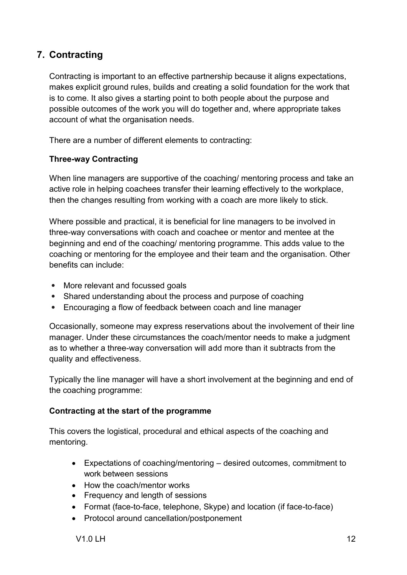## <span id="page-11-0"></span>**7. Contracting**

Contracting is important to an effective partnership because it aligns expectations, makes explicit ground rules, builds and creating a solid foundation for the work that is to come. It also gives a starting point to both people about the purpose and possible outcomes of the work you will do together and, where appropriate takes account of what the organisation needs.

There are a number of different elements to contracting:

#### **Three-way Contracting**

When line managers are supportive of the coaching/ mentoring process and take an active role in helping coachees transfer their learning effectively to the workplace, then the changes resulting from working with a coach are more likely to stick.

Where possible and practical, it is beneficial for line managers to be involved in three-way conversations with coach and coachee or mentor and mentee at the beginning and end of the coaching/ mentoring programme. This adds value to the coaching or mentoring for the employee and their team and the organisation. Other benefits can include:

- More relevant and focussed goals
- Shared understanding about the process and purpose of coaching
- Encouraging a flow of feedback between coach and line manager

Occasionally, someone may express reservations about the involvement of their line manager. Under these circumstances the coach/mentor needs to make a judgment as to whether a three-way conversation will add more than it subtracts from the quality and effectiveness.

Typically the line manager will have a short involvement at the beginning and end of the coaching programme:

## **Contracting at the start of the programme**

This covers the logistical, procedural and ethical aspects of the coaching and mentoring.

- Expectations of coaching/mentoring desired outcomes, commitment to work between sessions
- How the coach/mentor works
- Frequency and length of sessions
- Format (face-to-face, telephone, Skype) and location (if face-to-face)
- Protocol around cancellation/postponement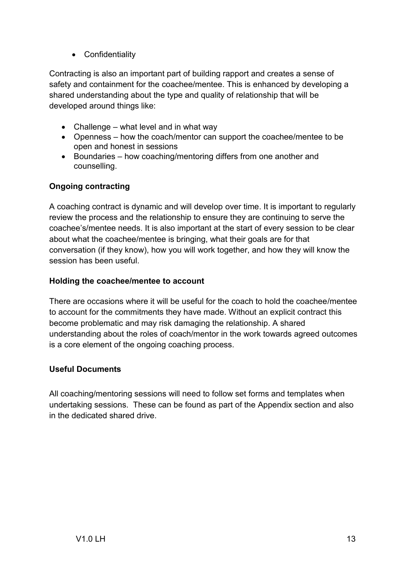• Confidentiality

Contracting is also an important part of building rapport and creates a sense of safety and containment for the coachee/mentee. This is enhanced by developing a shared understanding about the type and quality of relationship that will be developed around things like:

- Challenge what level and in what way
- Openness how the coach/mentor can support the coachee/mentee to be open and honest in sessions
- Boundaries how coaching/mentoring differs from one another and counselling.

## **Ongoing contracting**

A coaching contract is dynamic and will develop over time. It is important to regularly review the process and the relationship to ensure they are continuing to serve the coachee's/mentee needs. It is also important at the start of every session to be clear about what the coachee/mentee is bringing, what their goals are for that conversation (if they know), how you will work together, and how they will know the session has been useful.

## **Holding the coachee/mentee to account**

There are occasions where it will be useful for the coach to hold the coachee/mentee to account for the commitments they have made. Without an explicit contract this become problematic and may risk damaging the relationship. A shared understanding about the roles of coach/mentor in the work towards agreed outcomes is a core element of the ongoing coaching process.

## **Useful Documents**

All coaching/mentoring sessions will need to follow set forms and templates when undertaking sessions. These can be found as part of the Appendix section and also in the dedicated shared drive.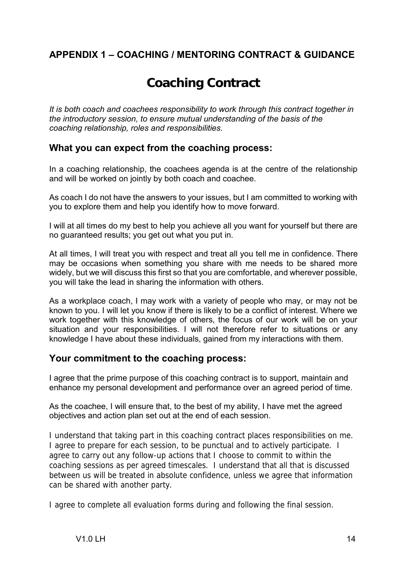## <span id="page-13-0"></span>**APPENDIX 1 – COACHING / MENTORING CONTRACT & GUIDANCE**

## **Coaching Contract**

*It is both coach and coachees responsibility to work through this contract together in the introductory session, to ensure mutual understanding of the basis of the coaching relationship, roles and responsibilities.* 

## **What you can expect from the coaching process:**

In a coaching relationship, the coachees agenda is at the centre of the relationship and will be worked on jointly by both coach and coachee.

As coach I do not have the answers to your issues, but I am committed to working with you to explore them and help you identify how to move forward.

I will at all times do my best to help you achieve all you want for yourself but there are no guaranteed results; you get out what you put in.

At all times, I will treat you with respect and treat all you tell me in confidence. There may be occasions when something you share with me needs to be shared more widely, but we will discuss this first so that you are comfortable, and wherever possible, you will take the lead in sharing the information with others.

As a workplace coach, I may work with a variety of people who may, or may not be known to you. I will let you know if there is likely to be a conflict of interest. Where we work together with this knowledge of others, the focus of our work will be on your situation and your responsibilities. I will not therefore refer to situations or any knowledge I have about these individuals, gained from my interactions with them.

## **Your commitment to the coaching process:**

I agree that the prime purpose of this coaching contract is to support, maintain and enhance my personal development and performance over an agreed period of time.

#### As the coachee, I will ensure that, to the best of my ability, I have met the agreed objectives and action plan set out at the end of each session.

I understand that taking part in this coaching contract places responsibilities on me. I agree to prepare for each session, to be punctual and to actively participate. I agree to carry out any follow-up actions that I choose to commit to within the coaching sessions as per agreed timescales. I understand that all that is discussed between us will be treated in absolute confidence, unless we agree that information can be shared with another party.

I agree to complete all evaluation forms during and following the final session.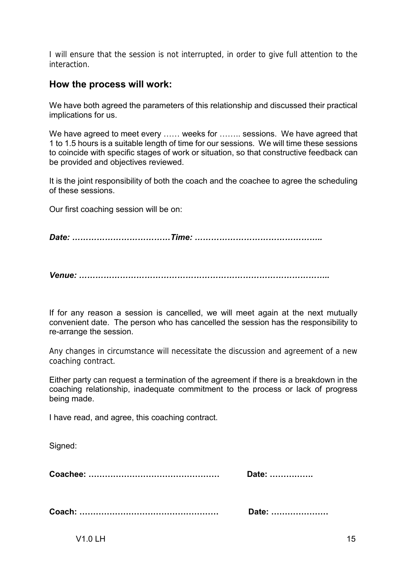I will ensure that the session is not interrupted, in order to give full attention to the interaction.

## **How the process will work:**

We have both agreed the parameters of this relationship and discussed their practical implications for us.

We have agreed to meet every ...... weeks for ........ sessions. We have agreed that 1 to 1.5 hours is a suitable length of time for our sessions. We will time these sessions to coincide with specific stages of work or situation, so that constructive feedback can be provided and objectives reviewed.

It is the joint responsibility of both the coach and the coachee to agree the scheduling of these sessions.

Our first coaching session will be on:

*Date: ………………………………Time: ………………………………………..* 

*Venue: ………………………………………………………………………………..* 

If for any reason a session is cancelled, we will meet again at the next mutually convenient date. The person who has cancelled the session has the responsibility to re-arrange the session.

Any changes in circumstance will necessitate the discussion and agreement of a new coaching contract.

Either party can request a termination of the agreement if there is a breakdown in the coaching relationship, inadequate commitment to the process or lack of progress being made.

I have read, and agree, this coaching contract.

Signed:

**Coachee: ………………………………………… Date: …………….** 

**Coach: …………………………………………… Date: …………………** 

V1.0 LH  $\,$  15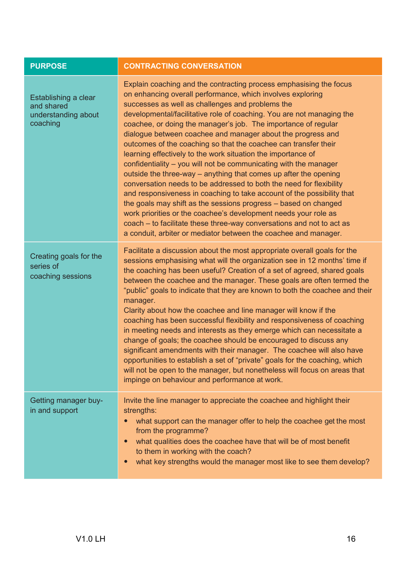| <b>PURPOSE</b>                                                        | <b>CONTRACTING CONVERSATION</b>                                                                                                                                                                                                                                                                                                                                                                                                                                                                                                                                                                                                                                                                                                                                                                                                                                                                                                                                                                                                                                                                              |
|-----------------------------------------------------------------------|--------------------------------------------------------------------------------------------------------------------------------------------------------------------------------------------------------------------------------------------------------------------------------------------------------------------------------------------------------------------------------------------------------------------------------------------------------------------------------------------------------------------------------------------------------------------------------------------------------------------------------------------------------------------------------------------------------------------------------------------------------------------------------------------------------------------------------------------------------------------------------------------------------------------------------------------------------------------------------------------------------------------------------------------------------------------------------------------------------------|
| Establishing a clear<br>and shared<br>understanding about<br>coaching | Explain coaching and the contracting process emphasising the focus<br>on enhancing overall performance, which involves exploring<br>successes as well as challenges and problems the<br>developmental/facilitative role of coaching. You are not managing the<br>coachee, or doing the manager's job. The importance of regular<br>dialogue between coachee and manager about the progress and<br>outcomes of the coaching so that the coachee can transfer their<br>learning effectively to the work situation the importance of<br>confidentiality - you will not be communicating with the manager<br>outside the three-way – anything that comes up after the opening<br>conversation needs to be addressed to both the need for flexibility<br>and responsiveness in coaching to take account of the possibility that<br>the goals may shift as the sessions progress - based on changed<br>work priorities or the coachee's development needs your role as<br>coach – to facilitate these three-way conversations and not to act as<br>a conduit, arbiter or mediator between the coachee and manager. |
| Creating goals for the<br>series of<br>coaching sessions              | Facilitate a discussion about the most appropriate overall goals for the<br>sessions emphasising what will the organization see in 12 months' time if<br>the coaching has been useful? Creation of a set of agreed, shared goals<br>between the coachee and the manager. These goals are often termed the<br>"public" goals to indicate that they are known to both the coachee and their<br>manager.<br>Clarity about how the coachee and line manager will know if the<br>coaching has been successful flexibility and responsiveness of coaching<br>in meeting needs and interests as they emerge which can necessitate a<br>change of goals; the coachee should be encouraged to discuss any<br>significant amendments with their manager. The coachee will also have<br>opportunities to establish a set of "private" goals for the coaching, which<br>will not be open to the manager, but nonetheless will focus on areas that<br>impinge on behaviour and performance at work.                                                                                                                       |
| Getting manager buy-<br>in and support                                | Invite the line manager to appreciate the coachee and highlight their<br>strengths:<br>what support can the manager offer to help the coachee get the most<br>from the programme?<br>what qualities does the coachee have that will be of most benefit<br>to them in working with the coach?<br>what key strengths would the manager most like to see them develop?                                                                                                                                                                                                                                                                                                                                                                                                                                                                                                                                                                                                                                                                                                                                          |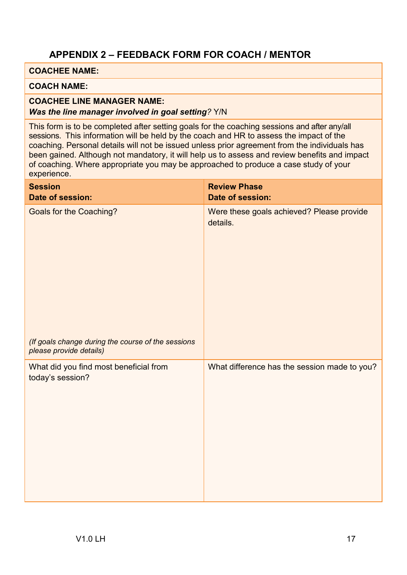## <span id="page-16-0"></span>**APPENDIX 2 – FEEDBACK FORM FOR COACH / MENTOR**

## **COACHEE NAME:**

#### **COACH NAME:**

#### **COACHEE LINE MANAGER NAME:** *Was the line manager involved in goal setting?* Y/N

This form is to be completed after setting goals for the coaching sessions and after any/all sessions. This information will be held by the coach and HR to assess the impact of the coaching. Personal details will not be issued unless prior agreement from the individuals has been gained. Although not mandatory, it will help us to assess and review benefits and impact of coaching. Where appropriate you may be approached to produce a case study of your experience.

| <b>Session</b><br>Date of session:                                            | <b>Review Phase</b><br>Date of session:               |
|-------------------------------------------------------------------------------|-------------------------------------------------------|
| <b>Goals for the Coaching?</b>                                                | Were these goals achieved? Please provide<br>details. |
| (If goals change during the course of the sessions<br>please provide details) |                                                       |
| What did you find most beneficial from<br>today's session?                    | What difference has the session made to you?          |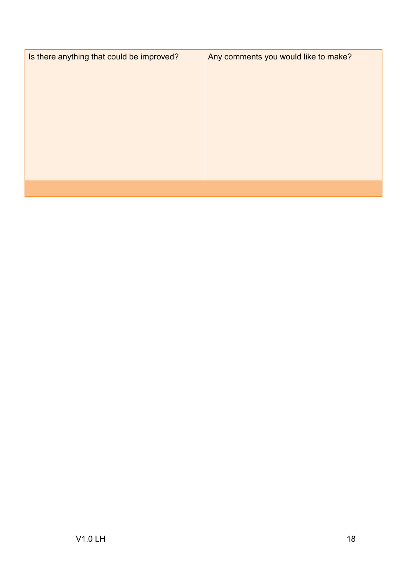| Is there anything that could be improved? | Any comments you would like to make? |
|-------------------------------------------|--------------------------------------|
|                                           |                                      |
|                                           |                                      |
|                                           |                                      |
|                                           |                                      |
|                                           |                                      |
|                                           |                                      |
|                                           |                                      |
|                                           |                                      |